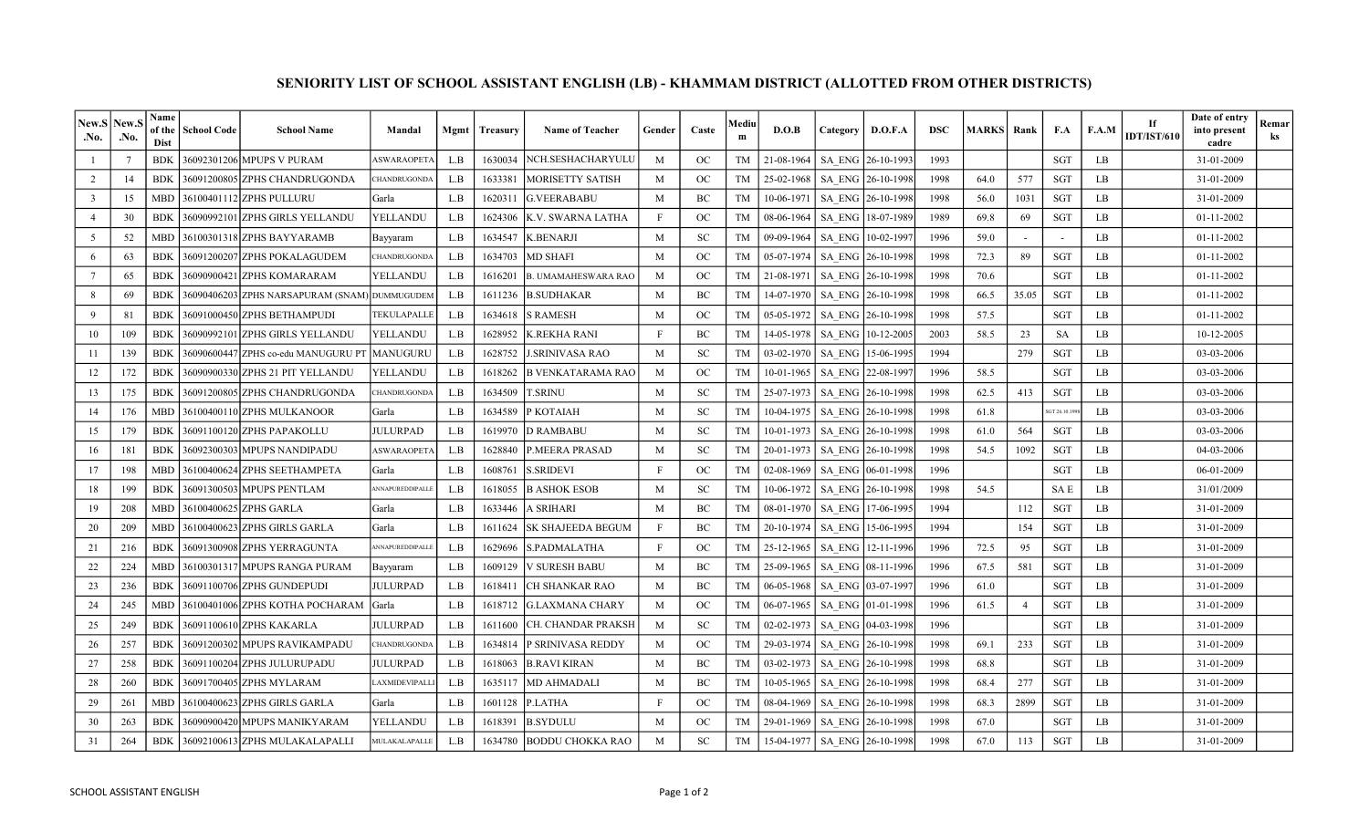| New.S<br>.No.           | New.<br>.No.    | Name<br>of the<br><b>Dist</b> | <b>School Code</b> | <b>School Name</b>                            | Mandal              | Mgmt | Treasurv | <b>Name of Teacher</b>     | Gender | Caste         | Mediu<br>m | D.O.B                          | Category      | D.O.F.A           | <b>DSC</b> | <b>MARKS</b> | Rank           | F.A         | F.A.M | If<br><b>IDT/IST/610</b> | Date of entry<br>into present<br>cadre | Remar<br>ks |
|-------------------------|-----------------|-------------------------------|--------------------|-----------------------------------------------|---------------------|------|----------|----------------------------|--------|---------------|------------|--------------------------------|---------------|-------------------|------------|--------------|----------------|-------------|-------|--------------------------|----------------------------------------|-------------|
|                         | $7\phantom{.0}$ | <b>BDK</b>                    |                    | 36092301206 MPUPS V PURAM                     | <b>ASWARAOPETA</b>  | L.B  | 1630034  | NCH.SESHACHARYULU          | M      | <b>OC</b>     | TM         | 21-08-1964                     |               | SA ENG 26-10-1993 | 1993       |              |                | <b>SGT</b>  | LB    |                          | 31-01-2009                             |             |
| 2                       | 14              | <b>BDK</b>                    |                    | 36091200805 ZPHS CHANDRUGONDA                 | <b>CHANDRUGONDA</b> | L.B  | 1633381  | <b>MORISETTY SATISH</b>    | M      | OC            | <b>TM</b>  | 25-02-1968                     |               | SA ENG 26-10-1998 | 1998       | 64.0         | 577            | <b>SGT</b>  | LB    |                          | 31-01-2009                             |             |
| $\overline{\mathbf{3}}$ | 15              | <b>MBD</b>                    |                    | 36100401112 ZPHS PULLURU                      | Garla               | L.B  | 1620311  | <b>G.VEERABABU</b>         | M      | BC            | TM         | 10-06-1971                     |               | SA ENG 26-10-1998 | 1998       | 56.0         | 1031           | <b>SGT</b>  | LB    |                          | 31-01-2009                             |             |
| $\overline{4}$          | 30              | <b>BDK</b>                    |                    | 36090992101 ZPHS GIRLS YELLANDU               | YELLANDU            | L.B  | 1624306  | K.V. SWARNA LATHA          | F      | OC            | <b>TM</b>  | 08-06-1964                     |               | SA ENG 18-07-1989 | 1989       | 69.8         | 69             | <b>SGT</b>  | LB    |                          | 01-11-2002                             |             |
| $5\overline{)}$         | 52              | <b>MBD</b>                    |                    | 36100301318 ZPHS BAYYARAMB                    | Bayyaram            | L.B  | 1634547  | <b>K.BENARJI</b>           | M      | <b>SC</b>     | <b>TM</b>  | 09-09-1964                     | <b>SA ENG</b> | 10-02-1997        | 1996       | 59.0         |                |             | LB    |                          | $01-11-2002$                           |             |
| -6                      | 63              | <b>BDK</b>                    |                    | 36091200207 ZPHS POKALAGUDEM                  | <b>CHANDRUGONDA</b> | L.B  | 1634703  | <b>MD SHAFI</b>            | M      | OC            | <b>TM</b>  | 05-07-1974                     | SA ENG        | 26-10-1998        | 1998       | 72.3         | 89             | <b>SGT</b>  | LB    |                          | 01-11-2002                             |             |
| $7\overline{ }$         | 65              | <b>BDK</b>                    |                    | 36090900421 ZPHS KOMARARAM                    | YELLANDU            | L.B  | 1616201  | <b>B. UMAMAHESWARA RAO</b> | M      | OC            | TM         | 21-08-1971                     |               | SA ENG 26-10-1998 | 1998       | 70.6         |                | SGT         | LB    |                          | 01-11-2002                             |             |
| 8                       | 69              | <b>BDK</b>                    |                    | 36090406203 ZPHS NARSAPURAM (SNAM) DUMMUGUDEM |                     | L.B  | 1611236  | <b>B.SUDHAKAR</b>          | M      | BC            | TM         | 14-07-1970                     |               | SA ENG 26-10-1998 | 1998       | 66.5         | 35.05          | SGT         | LB    |                          | 01-11-2002                             |             |
| 9                       | 81              | <b>BDK</b>                    |                    | 36091000450 ZPHS BETHAMPUDI                   | TEKULAPALLE         | L.B  | 1634618  | <b>S RAMESH</b>            | M      | OC            | TM         | 05-05-1972                     |               | SA ENG 26-10-1998 | 1998       | 57.5         |                | SGT         | LB    |                          | 01-11-2002                             |             |
| 10                      | 109             | <b>BDK</b>                    |                    | 36090992101 ZPHS GIRLS YELLANDU               | YELLANDU            | L.B  | 1628952  | K.REKHA RANI               |        | BC            | TM         | 14-05-1978                     | SA ENG        | 10-12-2005        | 2003       | 58.5         | 23             | SA          | LB    |                          | 10-12-2005                             |             |
| 11                      | 139             | <b>BDK</b>                    |                    | 36090600447 ZPHS co-edu MANUGURU P'           | IMANUGURU           | L.B  | 1628752  | J.SRINIVASA RAO            | M      | <b>SC</b>     | TM         | 03-02-1970                     |               | SA ENG 15-06-1995 | 1994       |              | 279            | SGT         | LB    |                          | 03-03-2006                             |             |
| 12                      | 172             | <b>BDK</b>                    |                    |                                               | YELLANDU            | L.B  | 1618262  | B VENKATARAMA RAO          | M      | OC            | TM         | $10-01-1965$                   |               | SA ENG 22-08-1997 | 1996       | 58.5         |                | SGT         | LB.   |                          | 03-03-2006                             |             |
| 13                      | 175             | <b>BDK</b>                    |                    | 36091200805lZPHS CHANDRUGONDA                 | CHANDRUGONDA        | L.B  | 1634509  | T.SRINU                    | M      | SC            | TM         | 25-07-1973                     |               | SA ENG 26-10-1998 | 1998       | 62.5         | 413            | SGT         | LB    |                          | 03-03-2006                             |             |
| 14                      | 176             | <b>MBD</b>                    |                    | 36100400110 ZPHS MULKANOOR                    | Garla               | L.B  | 1634589  | P KOTAIAH                  | M      | <b>SC</b>     | TM         | 10-04-1975                     |               | SA ENG 26-10-1998 | 1998       | 61.8         |                | GT 26.10.19 | LB.   |                          | 03-03-2006                             |             |
| 15                      | 179             | <b>BDK</b>                    |                    | 36091100120 ZPHS PAPAKOLLU                    | <b>JULURPAD</b>     | L.B  | 1619970  | <b>D RAMBABU</b>           | M      | SC            | TM         | 10-01-1973                     |               | SA ENG 26-10-1998 | 1998       | 61.0         | 564            | SGT         | LB    |                          | 03-03-2006                             |             |
| 16                      | 181             | <b>BDK</b>                    |                    | 36092300303 MPUPS NANDIPADU                   | <b>ASWARAOPETA</b>  | L.B  | 1628840  | <b>P.MEERA PRASAD</b>      | M      | <b>SC</b>     | TM         | 20-01-1973                     |               | SA ENG 26-10-1998 | 1998       | 54.5         | 1092           | SGT         | LB    |                          | 04-03-2006                             |             |
| 17                      | 198             | <b>MBD</b>                    |                    | 36100400624 ZPHS SEETHAMPETA                  | Garla               | L.B  | 1608761  | <b>S.SRIDEVI</b>           | F      | OC            | <b>TM</b>  | 02-08-1969                     | <b>SA ENG</b> | 06-01-1998        | 1996       |              |                | <b>SGT</b>  | LB    |                          | 06-01-2009                             |             |
| 18                      | 199             | <b>BDK</b>                    |                    | 36091300503 MPUPS PENTLAM                     | ANNAPUREDDIPALLI    | L.B  | 1618055  | <b>B ASHOK ESOB</b>        | M      | SC            | TM         | 10-06-1972                     |               | SA ENG 26-10-1998 | 1998       | 54.5         |                | <b>SAE</b>  | LB.   |                          | 31/01/2009                             |             |
| 19                      | 208             | <b>MBD</b>                    |                    | 36100400625 ZPHS GARLA                        | Garla               | L.B  | 1633446  | A SRIHARI                  | M      | BC            | TM         | 08-01-1970                     |               | SA ENG 17-06-1995 | 1994       |              | 112            | SGT         | LB    |                          | 31-01-2009                             |             |
| 20                      | 209             | <b>MBD</b>                    |                    | 36100400623 ZPHS GIRLS GARLA                  | Garla               | L.B  | 1611624  | <b>SK SHAJEEDA BEGUM</b>   |        | BC            | TM         | 20-10-1974                     | SA ENG        | 15-06-1995        | 1994       |              | 154            | SGT         | LB    |                          | 31-01-2009                             |             |
| 21                      | 216             | <b>BDK</b>                    |                    | 36091300908 ZPHS YERRAGUNTA                   | ANNAPUREDDIPALLI    | L.B  | 1629696  | S.PADMALATHA               | F      | $_{\rm OC}$   | TM         | 25-12-1965                     |               | SA ENG 12-11-1996 | 1996       | 72.5         | 95             | <b>SGT</b>  | LB    |                          | 31-01-2009                             |             |
| 22                      | 224             | <b>MBD</b>                    |                    | 36100301317 MPUPS RANGA PURAM                 | Bayyaram            | L.B  | 1609129  | <b>V SURESH BABU</b>       | M      | BC            | TM         | 25-09-1965                     | SA ENG        | 08-11-1996        | 1996       | 67.5         | 581            | <b>SGT</b>  | LB    |                          | 31-01-2009                             |             |
| 23                      | 236             | <b>BDK</b>                    |                    | 36091100706 ZPHS GUNDEPUDI                    | <b>JULURPAD</b>     | L.B  | 1618411  | CH SHANKAR RAO             | M      | BC            | TM         | 06-05-1968                     | <b>SA ENG</b> | 03-07-1997        | 1996       | 61.0         |                | <b>SGT</b>  | LB    |                          | 31-01-2009                             |             |
| 24                      | 245             | <b>MBD</b>                    |                    | 36100401006 ZPHS KOTHA POCHARAM Garla         |                     | L.B  | 1618712  | G.LAXMANA CHARY            | M      | OC            | TM         | 06-07-1965                     | SA ENG        | 01-01-1998        | 1996       | 61.5         | $\overline{4}$ | <b>SGT</b>  | LB    |                          | 31-01-2009                             |             |
| 25                      | 249             | <b>BDK</b>                    |                    | 36091100610 ZPHS KAKARLA                      | JULURPAD            | L.B  | 1611600  | CH. CHANDAR PRAKSH         | M      | <sub>SC</sub> | TM         | 02-02-1973                     | <b>SA ENG</b> | 04-03-1998        | 1996       |              |                | SGT         | LB    |                          | 31-01-2009                             |             |
| 26                      | 257             | <b>BDK</b>                    |                    | 36091200302 MPUPS RAVIKAMPADU                 | <b>CHANDRUGONDA</b> | L.B  | 1634814  | P SRINIVASA REDDY          | M      | OC            | TM         | 29-03-1974                     |               | SA ENG 26-10-1998 | 1998       | 69.1         | 233            | SGT         | LB.   |                          | 31-01-2009                             |             |
| 27                      | 258             | <b>BDK</b>                    |                    | 36091100204 ZPHS JULURUPADU                   | <b>JULURPAD</b>     | L.B  | 1618063  | <b>B.RAVI KIRAN</b>        | M      | BC            | TM         | 03-02-1973                     |               | SA ENG 26-10-1998 | 1998       | 68.8         |                | <b>SGT</b>  | LB    |                          | 31-01-2009                             |             |
| 28                      | 260             | <b>BDK</b>                    |                    | 36091700405 ZPHS MYLARAM                      | LAXMIDEVIPALL       | L.B  | 1635117  | <b>MD AHMADALI</b>         | M      | BC            | TM         | $10-05-1965$                   |               | SA ENG 26-10-1998 | 1998       | 68.4         | 277            | <b>SGT</b>  | LB    |                          | 31-01-2009                             |             |
| 29                      | 261             | <b>MBD</b>                    |                    | 36100400623 ZPHS GIRLS GARLA                  | Garla               | L.B  | 1601128  | P.LATHA                    | F      | OC            | TM         | 08-04-1969                     |               | SA ENG 26-10-1998 | 1998       | 68.3         | 2899           | SGT         | LB    |                          | 31-01-2009                             |             |
| 30                      | 263             | <b>BDK</b>                    |                    | 36090900420 MPUPS MANIKYARAM                  | YELLANDU            | L.B  | 1618391  | <b>B.SYDULU</b>            | M      | OC            | TM         | 29-01-1969                     |               | SA ENG 26-10-1998 | 1998       | 67.0         |                | <b>SGT</b>  | LB    |                          | 31-01-2009                             |             |
| 31                      | 264             | <b>BDK</b>                    |                    | 36092100613 ZPHS MULAKALAPALLI                | MULAKALAPALLE       | L.B  | 1634780  | <b>BODDU CHOKKA RAO</b>    | M      | <b>SC</b>     | TM         | 15-04-1977   SA ENG 26-10-1998 |               |                   | 1998       | 67.0         | 113            | SGT         | LB    |                          | 31-01-2009                             |             |

## SENIORITY LIST OF SCHOOL ASSISTANT ENGLISH (LB) - KHAMMAM DISTRICT (ALLOTTED FROM OTHER DISTRICTS)